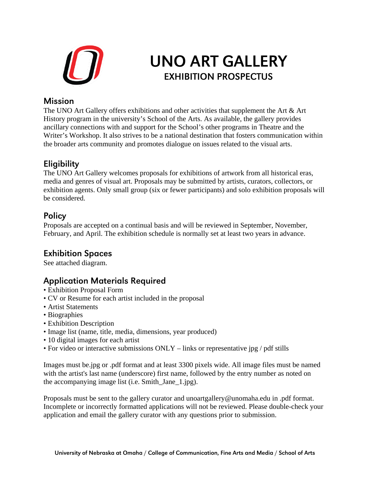

# UNO ART GALLERY EXHIBITION PROSPECTUS

#### **Mission**

The UNO Art Gallery offers exhibitions and other activities that supplement the Art & Art History program in the university's School of the Arts. As available, the gallery provides ancillary connections with and support for the School's other programs in Theatre and the Writer's Workshop. It also strives to be a national destination that fosters communication within the broader arts community and promotes dialogue on issues related to the visual arts.

### **Eligibility**

The UNO Art Gallery welcomes proposals for exhibitions of artwork from all historical eras, media and genres of visual art. Proposals may be submitted by artists, curators, collectors, or exhibition agents. Only small group (six or fewer participants) and solo exhibition proposals will be considered.

#### **Policy**

Proposals are accepted on a continual basis and will be reviewed in September, November, February, and April. The exhibition schedule is normally set at least two years in advance.

## Exhibition Spaces

See attached diagram.

#### Application Materials Required

- Exhibition Proposal Form
- CV or Resume for each artist included in the proposal
- Artist Statements
- Biographies
- Exhibition Description
- Image list (name, title, media, dimensions, year produced)
- 10 digital images for each artist
- For video or interactive submissions ONLY links or representative jpg / pdf stills

Images must be.jpg or .pdf format and at least 3300 pixels wide. All image files must be named with the artist's last name (underscore) first name, followed by the entry number as noted on the accompanying image list (i.e. Smith\_Jane\_1.jpg).

Proposals must be sent to the gallery curator and unoartgallery@unomaha.edu in .pdf format. Incomplete or incorrectly formatted applications will not be reviewed. Please double-check your application and email the gallery curator with any questions prior to submission.